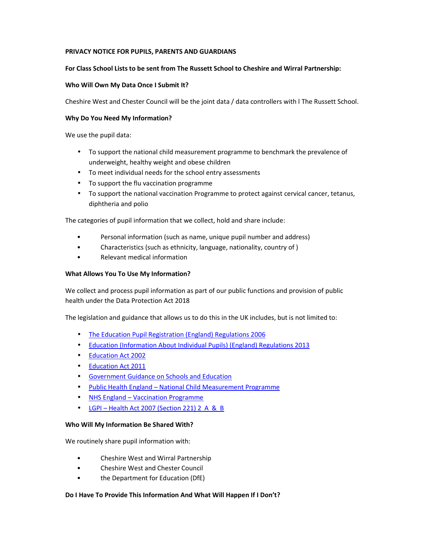# **PRIVACY NOTICE FOR PUPILS, PARENTS AND GUARDIANS**

## **For Class School Lists to be sent from The Russett School to Cheshire and Wirral Partnership:**

## **Who Will Own My Data Once I Submit It?**

Cheshire West and Chester Council will be the joint data / data controllers with l The Russett School.

### **Why Do You Need My Information?**

We use the pupil data:

- To support the national child measurement programme to benchmark the prevalence of underweight, healthy weight and obese children
- To meet individual needs for the school entry assessments
- To support the flu vaccination programme
- To support the national vaccination Programme to protect against cervical cancer, tetanus, diphtheria and polio

The categories of pupil information that we collect, hold and share include:

- Personal information (such as name, unique pupil number and address)
- Characteristics (such as ethnicity, language, nationality, country of )
- Relevant medical information

# **What Allows You To Use My Information?**

We collect and process pupil information as part of our public functions and provision of public health under the Data Protection Act 2018

The legislation and guidance that allows us to do this in the UK includes, but is not limited to:

- The Education Pupil Registration (England) Regulations 2006
- Education (Information About Individual Pupils) (England) Regulations 2013
- Education Act 2002
- Education Act 2011
- Government Guidance on Schools and Education
- Public Health England National Child Measurement Programme
- NHS England Vaccination Programme
- LGPI Health Act 2007 (Section 221) 2 A & B

### **Who Will My Information Be Shared With?**

We routinely share pupil information with:

- Cheshire West and Wirral Partnership
- Cheshire West and Chester Council
- the Department for Education (DfE)

### **Do I Have To Provide This Information And What Will Happen If I Don't?**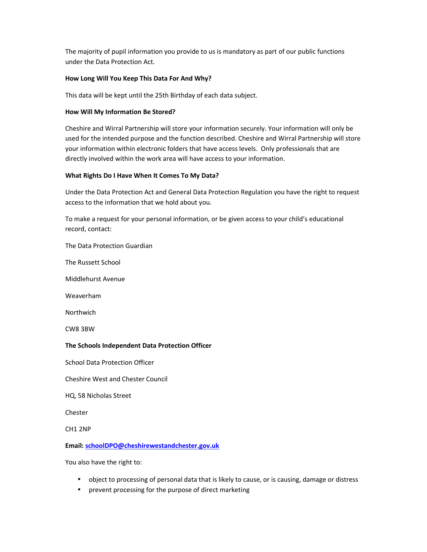The majority of pupil information you provide to us is mandatory as part of our public functions under the Data Protection Act.

## **How Long Will You Keep This Data For And Why?**

This data will be kept until the 25th Birthday of each data subject.

## **How Will My Information Be Stored?**

Cheshire and Wirral Partnership will store your information securely. Your information will only be used for the intended purpose and the function described. Cheshire and Wirral Partnership will store your information within electronic folders that have access levels. Only professionals that are directly involved within the work area will have access to your information.

# **What Rights Do I Have When It Comes To My Data?**

Under the Data Protection Act and General Data Protection Regulation you have the right to request access to the information that we hold about you.

To make a request for your personal information, or be given access to your child's educational record, contact:

The Data Protection Guardian

The Russett School

Middlehurst Avenue

Weaverham

Northwich

CW8 3BW

### **The Schools Independent Data Protection Officer**

School Data Protection Officer

Cheshire West and Chester Council

HQ, 58 Nicholas Street

Chester

CH1 2NP

### **Email: schoolDPO@cheshirewestandchester.gov.uk**

You also have the right to:

- object to processing of personal data that is likely to cause, or is causing, damage or distress
- prevent processing for the purpose of direct marketing